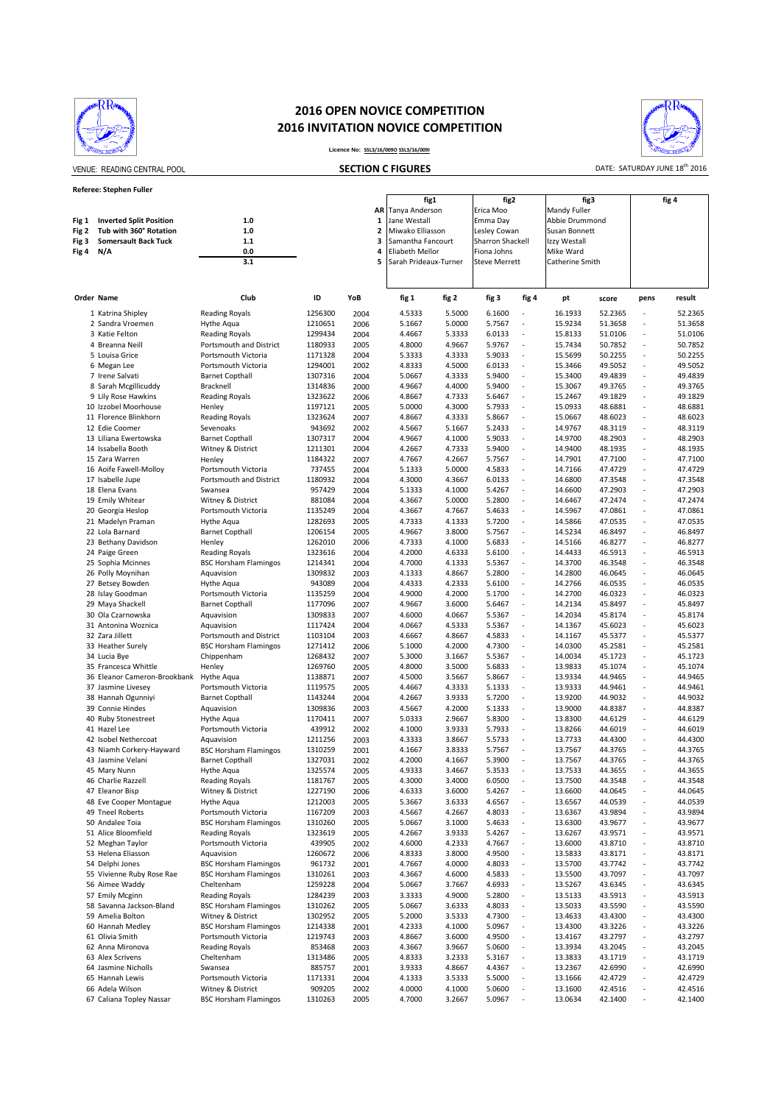

## **2016 OPEN NOVICE COMPETITION 2016 INVITATION NOVICE COMPETITION**



VENUE: READING CENTRAL POOL **SECTION C FIGURES CHILIDATE: SATURDAY JUNE 18<sup>th</sup> 2016** 

## **Licence No: SSL3/16/009O SSL3/16/009I SECTION C FIGURES**

| fig1<br>fig2<br>fig3<br>AR<br>Tanya Anderson<br>Erica Moo<br>Mandy Fuller<br><b>Inverted Split Position</b><br>1.0<br>Jane Westall<br>Abbie Drummond<br>1<br>Emma Day<br>Fig 1<br>Tub with 360° Rotation<br>$1.0$<br>2<br>Miwako Elliasson<br>Lesley Cowan<br>Susan Bonnett<br>Fig 2<br>3<br><b>Somersault Back Tuck</b><br>1.1<br>Sharron Shackell<br>Fig 3<br>Samantha Fancourt<br>Izzy Westall<br>0.0<br>4<br>Eliabeth Mellor<br>Mike Ward<br>Fig 4<br>N/A<br>Fiona Johns<br>3.1<br>5<br>Sarah Prideaux-Turner<br><b>Steve Merrett</b><br>Catherine Smith<br>Club<br>ID<br>YoB<br>fig 4<br>Order Name<br>fig 1<br>fig 2<br>fig 3<br>pt<br>score<br>1256300<br>2004<br>5.5000<br>16.1933<br>52.2365<br>1 Katrina Shipley<br><b>Reading Royals</b><br>4.5333<br>6.1600<br>$\sim$<br>15.9234<br>2 Sandra Vroemen<br>Hythe Aqua<br>1210651<br>2006<br>5.1667<br>5.0000<br>5.7567<br>51.3658<br>÷,<br>3 Katie Felton<br>1299434<br>4.4667<br>5.3333<br>6.0133<br>15.8133<br>51.0106<br><b>Reading Royals</b><br>2004<br>÷,<br>1180933<br>4.8000<br>4.9667<br>5.9767<br>15.7434<br>50.7852<br>4 Breanna Neill<br>Portsmouth and District<br>2005<br>$\sim$<br>4.3333<br>5.9033<br>15.5699<br>5 Louisa Grice<br>Portsmouth Victoria<br>1171328<br>2004<br>5.3333<br>50.2255<br>÷,<br>4.5000<br>49.5052<br>6 Megan Lee<br>Portsmouth Victoria<br>1294001<br>2002<br>4.8333<br>6.0133<br>15.3466<br>÷,<br>4.3333<br>5.9400<br>15.3400<br>49.4839<br>7 Irene Salvati<br><b>Barnet Copthall</b><br>1307316<br>2004<br>5.0667<br>÷,<br>1314836<br>4.9667<br>4.4000<br>5.9400<br>15.3067<br>49.3765<br>8 Sarah Mcgillicuddy<br>Bracknell<br>2000<br>÷,<br>9 Lily Rose Hawkins<br>4.7333<br>49.1829<br><b>Reading Royals</b><br>1323622<br>2006<br>4.8667<br>5.6467<br>÷,<br>15.2467<br>10 Izzobel Moorhouse<br>5.0000<br>4.3000<br>5.7933<br>15.0933<br>48.6881<br>Henley<br>1197121<br>2005<br>٠<br>11 Florence Blinkhorn<br>1323624<br>4.3333<br>5.8667<br>15.0667<br>48.6023<br><b>Reading Royals</b><br>2007<br>4.8667<br>٠<br>943692<br>5.1667<br>5.2433<br>14.9767<br>48.3119<br>12 Edie Coomer<br>Sevenoaks<br>2002<br>4.5667<br>$\sim$<br>4.1000<br>48.2903<br>13 Liliana Ewertowska<br><b>Barnet Copthall</b><br>1307317<br>2004<br>4.9667<br>5.9033<br>14.9700<br>÷,<br>1211301<br>4.7333<br>5.9400<br>14.9400<br>48.1935<br>14 Issabella Booth<br>Witney & District<br>2004<br>4.2667<br>÷,<br>15 Zara Warren<br>1184322<br>4.7667<br>4.2667<br>5.7567<br>14.7901<br>47.7100<br>2007<br>$\sim$<br>Henley<br>737455<br>5.0000<br>4.5833<br>16 Aoife Fawell-Molloy<br>Portsmouth Victoria<br>2004<br>5.1333<br>14.7166<br>47.4729<br>÷,<br>Portsmouth and District<br>1180932<br>4.3000<br>4.3667<br>6.0133<br>14.6800<br>47.3548<br>17 Isabelle Jupe<br>2004<br>÷,<br>957429<br>5.1333<br>4.1000<br>5.4267<br>14.6600<br>47.2903<br>18 Elena Evans<br>Swansea<br>2004<br>$\sim$<br>5.0000<br>5.2800<br>19 Emily Whitear<br>Witney & District<br>881084<br>4.3667<br>14.6467<br>47.2474<br>2004<br>÷,<br>20 Georgia Heslop<br>Portsmouth Victoria<br>1135249<br>2004<br>4.3667<br>4.7667<br>5.4633<br>÷,<br>14.5967<br>47.0861<br>1282693<br>4.1333<br>5.7200<br>14.5866<br>47.0535<br>21 Madelyn Praman<br>Hythe Agua<br>2005<br>4.7333<br>÷, | fig 4<br>result<br>pens<br>52.2365<br>$\sim$<br>51.3658<br>$\blacksquare$<br>51.0106<br>$\blacksquare$<br>50.7852<br>ä,<br>50.2255<br>$\overline{\phantom{a}}$<br>49.5052<br>49.4839<br>ä,<br>49.3765<br>ä,<br>49.1829<br>$\overline{\phantom{a}}$<br>48.6881<br>$\bar{a}$<br>48.6023<br>ä,<br>48.3119<br>ä,<br>48.2903<br>$\blacksquare$<br>48.1935<br>$\overline{\phantom{a}}$<br>÷,<br>47.7100<br>47.4729<br>$\overline{\phantom{a}}$<br>47.3548<br>$\overline{\phantom{a}}$<br>47.2903<br>ä,<br>47.2474<br>$\bar{a}$<br>47.0861<br>$\overline{\phantom{a}}$<br>47.0535<br>$\overline{\phantom{a}}$ |  |
|-----------------------------------------------------------------------------------------------------------------------------------------------------------------------------------------------------------------------------------------------------------------------------------------------------------------------------------------------------------------------------------------------------------------------------------------------------------------------------------------------------------------------------------------------------------------------------------------------------------------------------------------------------------------------------------------------------------------------------------------------------------------------------------------------------------------------------------------------------------------------------------------------------------------------------------------------------------------------------------------------------------------------------------------------------------------------------------------------------------------------------------------------------------------------------------------------------------------------------------------------------------------------------------------------------------------------------------------------------------------------------------------------------------------------------------------------------------------------------------------------------------------------------------------------------------------------------------------------------------------------------------------------------------------------------------------------------------------------------------------------------------------------------------------------------------------------------------------------------------------------------------------------------------------------------------------------------------------------------------------------------------------------------------------------------------------------------------------------------------------------------------------------------------------------------------------------------------------------------------------------------------------------------------------------------------------------------------------------------------------------------------------------------------------------------------------------------------------------------------------------------------------------------------------------------------------------------------------------------------------------------------------------------------------------------------------------------------------------------------------------------------------------------------------------------------------------------------------------------------------------------------------------------------------------------------------------------------------------------------------------------------------------------------------------------------------------------------------------------------------------------------------------------------------------------------------------------------------------------------------------|--------------------------------------------------------------------------------------------------------------------------------------------------------------------------------------------------------------------------------------------------------------------------------------------------------------------------------------------------------------------------------------------------------------------------------------------------------------------------------------------------------------------------------------------------------------------------------------------------------|--|
|                                                                                                                                                                                                                                                                                                                                                                                                                                                                                                                                                                                                                                                                                                                                                                                                                                                                                                                                                                                                                                                                                                                                                                                                                                                                                                                                                                                                                                                                                                                                                                                                                                                                                                                                                                                                                                                                                                                                                                                                                                                                                                                                                                                                                                                                                                                                                                                                                                                                                                                                                                                                                                                                                                                                                                                                                                                                                                                                                                                                                                                                                                                                                                                                                                               |                                                                                                                                                                                                                                                                                                                                                                                                                                                                                                                                                                                                        |  |
|                                                                                                                                                                                                                                                                                                                                                                                                                                                                                                                                                                                                                                                                                                                                                                                                                                                                                                                                                                                                                                                                                                                                                                                                                                                                                                                                                                                                                                                                                                                                                                                                                                                                                                                                                                                                                                                                                                                                                                                                                                                                                                                                                                                                                                                                                                                                                                                                                                                                                                                                                                                                                                                                                                                                                                                                                                                                                                                                                                                                                                                                                                                                                                                                                                               |                                                                                                                                                                                                                                                                                                                                                                                                                                                                                                                                                                                                        |  |
|                                                                                                                                                                                                                                                                                                                                                                                                                                                                                                                                                                                                                                                                                                                                                                                                                                                                                                                                                                                                                                                                                                                                                                                                                                                                                                                                                                                                                                                                                                                                                                                                                                                                                                                                                                                                                                                                                                                                                                                                                                                                                                                                                                                                                                                                                                                                                                                                                                                                                                                                                                                                                                                                                                                                                                                                                                                                                                                                                                                                                                                                                                                                                                                                                                               |                                                                                                                                                                                                                                                                                                                                                                                                                                                                                                                                                                                                        |  |
|                                                                                                                                                                                                                                                                                                                                                                                                                                                                                                                                                                                                                                                                                                                                                                                                                                                                                                                                                                                                                                                                                                                                                                                                                                                                                                                                                                                                                                                                                                                                                                                                                                                                                                                                                                                                                                                                                                                                                                                                                                                                                                                                                                                                                                                                                                                                                                                                                                                                                                                                                                                                                                                                                                                                                                                                                                                                                                                                                                                                                                                                                                                                                                                                                                               |                                                                                                                                                                                                                                                                                                                                                                                                                                                                                                                                                                                                        |  |
|                                                                                                                                                                                                                                                                                                                                                                                                                                                                                                                                                                                                                                                                                                                                                                                                                                                                                                                                                                                                                                                                                                                                                                                                                                                                                                                                                                                                                                                                                                                                                                                                                                                                                                                                                                                                                                                                                                                                                                                                                                                                                                                                                                                                                                                                                                                                                                                                                                                                                                                                                                                                                                                                                                                                                                                                                                                                                                                                                                                                                                                                                                                                                                                                                                               |                                                                                                                                                                                                                                                                                                                                                                                                                                                                                                                                                                                                        |  |
|                                                                                                                                                                                                                                                                                                                                                                                                                                                                                                                                                                                                                                                                                                                                                                                                                                                                                                                                                                                                                                                                                                                                                                                                                                                                                                                                                                                                                                                                                                                                                                                                                                                                                                                                                                                                                                                                                                                                                                                                                                                                                                                                                                                                                                                                                                                                                                                                                                                                                                                                                                                                                                                                                                                                                                                                                                                                                                                                                                                                                                                                                                                                                                                                                                               |                                                                                                                                                                                                                                                                                                                                                                                                                                                                                                                                                                                                        |  |
|                                                                                                                                                                                                                                                                                                                                                                                                                                                                                                                                                                                                                                                                                                                                                                                                                                                                                                                                                                                                                                                                                                                                                                                                                                                                                                                                                                                                                                                                                                                                                                                                                                                                                                                                                                                                                                                                                                                                                                                                                                                                                                                                                                                                                                                                                                                                                                                                                                                                                                                                                                                                                                                                                                                                                                                                                                                                                                                                                                                                                                                                                                                                                                                                                                               |                                                                                                                                                                                                                                                                                                                                                                                                                                                                                                                                                                                                        |  |
|                                                                                                                                                                                                                                                                                                                                                                                                                                                                                                                                                                                                                                                                                                                                                                                                                                                                                                                                                                                                                                                                                                                                                                                                                                                                                                                                                                                                                                                                                                                                                                                                                                                                                                                                                                                                                                                                                                                                                                                                                                                                                                                                                                                                                                                                                                                                                                                                                                                                                                                                                                                                                                                                                                                                                                                                                                                                                                                                                                                                                                                                                                                                                                                                                                               |                                                                                                                                                                                                                                                                                                                                                                                                                                                                                                                                                                                                        |  |
|                                                                                                                                                                                                                                                                                                                                                                                                                                                                                                                                                                                                                                                                                                                                                                                                                                                                                                                                                                                                                                                                                                                                                                                                                                                                                                                                                                                                                                                                                                                                                                                                                                                                                                                                                                                                                                                                                                                                                                                                                                                                                                                                                                                                                                                                                                                                                                                                                                                                                                                                                                                                                                                                                                                                                                                                                                                                                                                                                                                                                                                                                                                                                                                                                                               |                                                                                                                                                                                                                                                                                                                                                                                                                                                                                                                                                                                                        |  |
|                                                                                                                                                                                                                                                                                                                                                                                                                                                                                                                                                                                                                                                                                                                                                                                                                                                                                                                                                                                                                                                                                                                                                                                                                                                                                                                                                                                                                                                                                                                                                                                                                                                                                                                                                                                                                                                                                                                                                                                                                                                                                                                                                                                                                                                                                                                                                                                                                                                                                                                                                                                                                                                                                                                                                                                                                                                                                                                                                                                                                                                                                                                                                                                                                                               |                                                                                                                                                                                                                                                                                                                                                                                                                                                                                                                                                                                                        |  |
|                                                                                                                                                                                                                                                                                                                                                                                                                                                                                                                                                                                                                                                                                                                                                                                                                                                                                                                                                                                                                                                                                                                                                                                                                                                                                                                                                                                                                                                                                                                                                                                                                                                                                                                                                                                                                                                                                                                                                                                                                                                                                                                                                                                                                                                                                                                                                                                                                                                                                                                                                                                                                                                                                                                                                                                                                                                                                                                                                                                                                                                                                                                                                                                                                                               |                                                                                                                                                                                                                                                                                                                                                                                                                                                                                                                                                                                                        |  |
|                                                                                                                                                                                                                                                                                                                                                                                                                                                                                                                                                                                                                                                                                                                                                                                                                                                                                                                                                                                                                                                                                                                                                                                                                                                                                                                                                                                                                                                                                                                                                                                                                                                                                                                                                                                                                                                                                                                                                                                                                                                                                                                                                                                                                                                                                                                                                                                                                                                                                                                                                                                                                                                                                                                                                                                                                                                                                                                                                                                                                                                                                                                                                                                                                                               |                                                                                                                                                                                                                                                                                                                                                                                                                                                                                                                                                                                                        |  |
|                                                                                                                                                                                                                                                                                                                                                                                                                                                                                                                                                                                                                                                                                                                                                                                                                                                                                                                                                                                                                                                                                                                                                                                                                                                                                                                                                                                                                                                                                                                                                                                                                                                                                                                                                                                                                                                                                                                                                                                                                                                                                                                                                                                                                                                                                                                                                                                                                                                                                                                                                                                                                                                                                                                                                                                                                                                                                                                                                                                                                                                                                                                                                                                                                                               |                                                                                                                                                                                                                                                                                                                                                                                                                                                                                                                                                                                                        |  |
|                                                                                                                                                                                                                                                                                                                                                                                                                                                                                                                                                                                                                                                                                                                                                                                                                                                                                                                                                                                                                                                                                                                                                                                                                                                                                                                                                                                                                                                                                                                                                                                                                                                                                                                                                                                                                                                                                                                                                                                                                                                                                                                                                                                                                                                                                                                                                                                                                                                                                                                                                                                                                                                                                                                                                                                                                                                                                                                                                                                                                                                                                                                                                                                                                                               |                                                                                                                                                                                                                                                                                                                                                                                                                                                                                                                                                                                                        |  |
|                                                                                                                                                                                                                                                                                                                                                                                                                                                                                                                                                                                                                                                                                                                                                                                                                                                                                                                                                                                                                                                                                                                                                                                                                                                                                                                                                                                                                                                                                                                                                                                                                                                                                                                                                                                                                                                                                                                                                                                                                                                                                                                                                                                                                                                                                                                                                                                                                                                                                                                                                                                                                                                                                                                                                                                                                                                                                                                                                                                                                                                                                                                                                                                                                                               |                                                                                                                                                                                                                                                                                                                                                                                                                                                                                                                                                                                                        |  |
|                                                                                                                                                                                                                                                                                                                                                                                                                                                                                                                                                                                                                                                                                                                                                                                                                                                                                                                                                                                                                                                                                                                                                                                                                                                                                                                                                                                                                                                                                                                                                                                                                                                                                                                                                                                                                                                                                                                                                                                                                                                                                                                                                                                                                                                                                                                                                                                                                                                                                                                                                                                                                                                                                                                                                                                                                                                                                                                                                                                                                                                                                                                                                                                                                                               |                                                                                                                                                                                                                                                                                                                                                                                                                                                                                                                                                                                                        |  |
|                                                                                                                                                                                                                                                                                                                                                                                                                                                                                                                                                                                                                                                                                                                                                                                                                                                                                                                                                                                                                                                                                                                                                                                                                                                                                                                                                                                                                                                                                                                                                                                                                                                                                                                                                                                                                                                                                                                                                                                                                                                                                                                                                                                                                                                                                                                                                                                                                                                                                                                                                                                                                                                                                                                                                                                                                                                                                                                                                                                                                                                                                                                                                                                                                                               |                                                                                                                                                                                                                                                                                                                                                                                                                                                                                                                                                                                                        |  |
|                                                                                                                                                                                                                                                                                                                                                                                                                                                                                                                                                                                                                                                                                                                                                                                                                                                                                                                                                                                                                                                                                                                                                                                                                                                                                                                                                                                                                                                                                                                                                                                                                                                                                                                                                                                                                                                                                                                                                                                                                                                                                                                                                                                                                                                                                                                                                                                                                                                                                                                                                                                                                                                                                                                                                                                                                                                                                                                                                                                                                                                                                                                                                                                                                                               |                                                                                                                                                                                                                                                                                                                                                                                                                                                                                                                                                                                                        |  |
|                                                                                                                                                                                                                                                                                                                                                                                                                                                                                                                                                                                                                                                                                                                                                                                                                                                                                                                                                                                                                                                                                                                                                                                                                                                                                                                                                                                                                                                                                                                                                                                                                                                                                                                                                                                                                                                                                                                                                                                                                                                                                                                                                                                                                                                                                                                                                                                                                                                                                                                                                                                                                                                                                                                                                                                                                                                                                                                                                                                                                                                                                                                                                                                                                                               |                                                                                                                                                                                                                                                                                                                                                                                                                                                                                                                                                                                                        |  |
|                                                                                                                                                                                                                                                                                                                                                                                                                                                                                                                                                                                                                                                                                                                                                                                                                                                                                                                                                                                                                                                                                                                                                                                                                                                                                                                                                                                                                                                                                                                                                                                                                                                                                                                                                                                                                                                                                                                                                                                                                                                                                                                                                                                                                                                                                                                                                                                                                                                                                                                                                                                                                                                                                                                                                                                                                                                                                                                                                                                                                                                                                                                                                                                                                                               |                                                                                                                                                                                                                                                                                                                                                                                                                                                                                                                                                                                                        |  |
|                                                                                                                                                                                                                                                                                                                                                                                                                                                                                                                                                                                                                                                                                                                                                                                                                                                                                                                                                                                                                                                                                                                                                                                                                                                                                                                                                                                                                                                                                                                                                                                                                                                                                                                                                                                                                                                                                                                                                                                                                                                                                                                                                                                                                                                                                                                                                                                                                                                                                                                                                                                                                                                                                                                                                                                                                                                                                                                                                                                                                                                                                                                                                                                                                                               |                                                                                                                                                                                                                                                                                                                                                                                                                                                                                                                                                                                                        |  |
|                                                                                                                                                                                                                                                                                                                                                                                                                                                                                                                                                                                                                                                                                                                                                                                                                                                                                                                                                                                                                                                                                                                                                                                                                                                                                                                                                                                                                                                                                                                                                                                                                                                                                                                                                                                                                                                                                                                                                                                                                                                                                                                                                                                                                                                                                                                                                                                                                                                                                                                                                                                                                                                                                                                                                                                                                                                                                                                                                                                                                                                                                                                                                                                                                                               |                                                                                                                                                                                                                                                                                                                                                                                                                                                                                                                                                                                                        |  |
|                                                                                                                                                                                                                                                                                                                                                                                                                                                                                                                                                                                                                                                                                                                                                                                                                                                                                                                                                                                                                                                                                                                                                                                                                                                                                                                                                                                                                                                                                                                                                                                                                                                                                                                                                                                                                                                                                                                                                                                                                                                                                                                                                                                                                                                                                                                                                                                                                                                                                                                                                                                                                                                                                                                                                                                                                                                                                                                                                                                                                                                                                                                                                                                                                                               |                                                                                                                                                                                                                                                                                                                                                                                                                                                                                                                                                                                                        |  |
|                                                                                                                                                                                                                                                                                                                                                                                                                                                                                                                                                                                                                                                                                                                                                                                                                                                                                                                                                                                                                                                                                                                                                                                                                                                                                                                                                                                                                                                                                                                                                                                                                                                                                                                                                                                                                                                                                                                                                                                                                                                                                                                                                                                                                                                                                                                                                                                                                                                                                                                                                                                                                                                                                                                                                                                                                                                                                                                                                                                                                                                                                                                                                                                                                                               |                                                                                                                                                                                                                                                                                                                                                                                                                                                                                                                                                                                                        |  |
|                                                                                                                                                                                                                                                                                                                                                                                                                                                                                                                                                                                                                                                                                                                                                                                                                                                                                                                                                                                                                                                                                                                                                                                                                                                                                                                                                                                                                                                                                                                                                                                                                                                                                                                                                                                                                                                                                                                                                                                                                                                                                                                                                                                                                                                                                                                                                                                                                                                                                                                                                                                                                                                                                                                                                                                                                                                                                                                                                                                                                                                                                                                                                                                                                                               |                                                                                                                                                                                                                                                                                                                                                                                                                                                                                                                                                                                                        |  |
|                                                                                                                                                                                                                                                                                                                                                                                                                                                                                                                                                                                                                                                                                                                                                                                                                                                                                                                                                                                                                                                                                                                                                                                                                                                                                                                                                                                                                                                                                                                                                                                                                                                                                                                                                                                                                                                                                                                                                                                                                                                                                                                                                                                                                                                                                                                                                                                                                                                                                                                                                                                                                                                                                                                                                                                                                                                                                                                                                                                                                                                                                                                                                                                                                                               |                                                                                                                                                                                                                                                                                                                                                                                                                                                                                                                                                                                                        |  |
|                                                                                                                                                                                                                                                                                                                                                                                                                                                                                                                                                                                                                                                                                                                                                                                                                                                                                                                                                                                                                                                                                                                                                                                                                                                                                                                                                                                                                                                                                                                                                                                                                                                                                                                                                                                                                                                                                                                                                                                                                                                                                                                                                                                                                                                                                                                                                                                                                                                                                                                                                                                                                                                                                                                                                                                                                                                                                                                                                                                                                                                                                                                                                                                                                                               |                                                                                                                                                                                                                                                                                                                                                                                                                                                                                                                                                                                                        |  |
|                                                                                                                                                                                                                                                                                                                                                                                                                                                                                                                                                                                                                                                                                                                                                                                                                                                                                                                                                                                                                                                                                                                                                                                                                                                                                                                                                                                                                                                                                                                                                                                                                                                                                                                                                                                                                                                                                                                                                                                                                                                                                                                                                                                                                                                                                                                                                                                                                                                                                                                                                                                                                                                                                                                                                                                                                                                                                                                                                                                                                                                                                                                                                                                                                                               |                                                                                                                                                                                                                                                                                                                                                                                                                                                                                                                                                                                                        |  |
|                                                                                                                                                                                                                                                                                                                                                                                                                                                                                                                                                                                                                                                                                                                                                                                                                                                                                                                                                                                                                                                                                                                                                                                                                                                                                                                                                                                                                                                                                                                                                                                                                                                                                                                                                                                                                                                                                                                                                                                                                                                                                                                                                                                                                                                                                                                                                                                                                                                                                                                                                                                                                                                                                                                                                                                                                                                                                                                                                                                                                                                                                                                                                                                                                                               |                                                                                                                                                                                                                                                                                                                                                                                                                                                                                                                                                                                                        |  |
|                                                                                                                                                                                                                                                                                                                                                                                                                                                                                                                                                                                                                                                                                                                                                                                                                                                                                                                                                                                                                                                                                                                                                                                                                                                                                                                                                                                                                                                                                                                                                                                                                                                                                                                                                                                                                                                                                                                                                                                                                                                                                                                                                                                                                                                                                                                                                                                                                                                                                                                                                                                                                                                                                                                                                                                                                                                                                                                                                                                                                                                                                                                                                                                                                                               |                                                                                                                                                                                                                                                                                                                                                                                                                                                                                                                                                                                                        |  |
|                                                                                                                                                                                                                                                                                                                                                                                                                                                                                                                                                                                                                                                                                                                                                                                                                                                                                                                                                                                                                                                                                                                                                                                                                                                                                                                                                                                                                                                                                                                                                                                                                                                                                                                                                                                                                                                                                                                                                                                                                                                                                                                                                                                                                                                                                                                                                                                                                                                                                                                                                                                                                                                                                                                                                                                                                                                                                                                                                                                                                                                                                                                                                                                                                                               |                                                                                                                                                                                                                                                                                                                                                                                                                                                                                                                                                                                                        |  |
|                                                                                                                                                                                                                                                                                                                                                                                                                                                                                                                                                                                                                                                                                                                                                                                                                                                                                                                                                                                                                                                                                                                                                                                                                                                                                                                                                                                                                                                                                                                                                                                                                                                                                                                                                                                                                                                                                                                                                                                                                                                                                                                                                                                                                                                                                                                                                                                                                                                                                                                                                                                                                                                                                                                                                                                                                                                                                                                                                                                                                                                                                                                                                                                                                                               |                                                                                                                                                                                                                                                                                                                                                                                                                                                                                                                                                                                                        |  |
|                                                                                                                                                                                                                                                                                                                                                                                                                                                                                                                                                                                                                                                                                                                                                                                                                                                                                                                                                                                                                                                                                                                                                                                                                                                                                                                                                                                                                                                                                                                                                                                                                                                                                                                                                                                                                                                                                                                                                                                                                                                                                                                                                                                                                                                                                                                                                                                                                                                                                                                                                                                                                                                                                                                                                                                                                                                                                                                                                                                                                                                                                                                                                                                                                                               |                                                                                                                                                                                                                                                                                                                                                                                                                                                                                                                                                                                                        |  |
|                                                                                                                                                                                                                                                                                                                                                                                                                                                                                                                                                                                                                                                                                                                                                                                                                                                                                                                                                                                                                                                                                                                                                                                                                                                                                                                                                                                                                                                                                                                                                                                                                                                                                                                                                                                                                                                                                                                                                                                                                                                                                                                                                                                                                                                                                                                                                                                                                                                                                                                                                                                                                                                                                                                                                                                                                                                                                                                                                                                                                                                                                                                                                                                                                                               |                                                                                                                                                                                                                                                                                                                                                                                                                                                                                                                                                                                                        |  |
| ÷,                                                                                                                                                                                                                                                                                                                                                                                                                                                                                                                                                                                                                                                                                                                                                                                                                                                                                                                                                                                                                                                                                                                                                                                                                                                                                                                                                                                                                                                                                                                                                                                                                                                                                                                                                                                                                                                                                                                                                                                                                                                                                                                                                                                                                                                                                                                                                                                                                                                                                                                                                                                                                                                                                                                                                                                                                                                                                                                                                                                                                                                                                                                                                                                                                                            | ä,                                                                                                                                                                                                                                                                                                                                                                                                                                                                                                                                                                                                     |  |
| 1206154<br>4.9667<br>3.8000<br>5.7567<br>14.5234<br>46.8497<br>22 Lola Barnard<br><b>Barnet Copthall</b><br>2005                                                                                                                                                                                                                                                                                                                                                                                                                                                                                                                                                                                                                                                                                                                                                                                                                                                                                                                                                                                                                                                                                                                                                                                                                                                                                                                                                                                                                                                                                                                                                                                                                                                                                                                                                                                                                                                                                                                                                                                                                                                                                                                                                                                                                                                                                                                                                                                                                                                                                                                                                                                                                                                                                                                                                                                                                                                                                                                                                                                                                                                                                                                              | 46.8497                                                                                                                                                                                                                                                                                                                                                                                                                                                                                                                                                                                                |  |
| 4.1000<br>46.8277<br>23 Bethany Davidson<br>1262010<br>4.7333<br>5.6833<br>14.5166<br>Henley<br>2006<br>÷,                                                                                                                                                                                                                                                                                                                                                                                                                                                                                                                                                                                                                                                                                                                                                                                                                                                                                                                                                                                                                                                                                                                                                                                                                                                                                                                                                                                                                                                                                                                                                                                                                                                                                                                                                                                                                                                                                                                                                                                                                                                                                                                                                                                                                                                                                                                                                                                                                                                                                                                                                                                                                                                                                                                                                                                                                                                                                                                                                                                                                                                                                                                                    | 46.8277<br>ä,                                                                                                                                                                                                                                                                                                                                                                                                                                                                                                                                                                                          |  |
| 24 Paige Green<br>1323616<br>2004<br>4.2000<br>4.6333<br>5.6100<br>14.4433<br>46.5913<br><b>Reading Royals</b><br>÷,                                                                                                                                                                                                                                                                                                                                                                                                                                                                                                                                                                                                                                                                                                                                                                                                                                                                                                                                                                                                                                                                                                                                                                                                                                                                                                                                                                                                                                                                                                                                                                                                                                                                                                                                                                                                                                                                                                                                                                                                                                                                                                                                                                                                                                                                                                                                                                                                                                                                                                                                                                                                                                                                                                                                                                                                                                                                                                                                                                                                                                                                                                                          | 46.5913<br>$\blacksquare$                                                                                                                                                                                                                                                                                                                                                                                                                                                                                                                                                                              |  |
| 25 Sophia Mcinnes<br><b>BSC Horsham Flamingos</b><br>1214341<br>4.7000<br>4.1333<br>5.5367<br>14.3700<br>46.3548<br>2004<br>÷,                                                                                                                                                                                                                                                                                                                                                                                                                                                                                                                                                                                                                                                                                                                                                                                                                                                                                                                                                                                                                                                                                                                                                                                                                                                                                                                                                                                                                                                                                                                                                                                                                                                                                                                                                                                                                                                                                                                                                                                                                                                                                                                                                                                                                                                                                                                                                                                                                                                                                                                                                                                                                                                                                                                                                                                                                                                                                                                                                                                                                                                                                                                | 46.3548<br>$\bar{a}$                                                                                                                                                                                                                                                                                                                                                                                                                                                                                                                                                                                   |  |
| 1309832<br>4.8667<br>5.2800<br>14.2800<br>46.0645<br>26 Polly Moynihan<br>2003<br>4.1333<br>÷,<br>Aquavision                                                                                                                                                                                                                                                                                                                                                                                                                                                                                                                                                                                                                                                                                                                                                                                                                                                                                                                                                                                                                                                                                                                                                                                                                                                                                                                                                                                                                                                                                                                                                                                                                                                                                                                                                                                                                                                                                                                                                                                                                                                                                                                                                                                                                                                                                                                                                                                                                                                                                                                                                                                                                                                                                                                                                                                                                                                                                                                                                                                                                                                                                                                                  | 46.0645<br>ä,                                                                                                                                                                                                                                                                                                                                                                                                                                                                                                                                                                                          |  |
| 27 Betsey Bowden<br>Hythe Aqua<br>943089<br>2004<br>4.4333<br>4.2333<br>5.6100<br>÷,<br>14.2766<br>46.0535                                                                                                                                                                                                                                                                                                                                                                                                                                                                                                                                                                                                                                                                                                                                                                                                                                                                                                                                                                                                                                                                                                                                                                                                                                                                                                                                                                                                                                                                                                                                                                                                                                                                                                                                                                                                                                                                                                                                                                                                                                                                                                                                                                                                                                                                                                                                                                                                                                                                                                                                                                                                                                                                                                                                                                                                                                                                                                                                                                                                                                                                                                                                    | 46.0535<br>$\blacksquare$                                                                                                                                                                                                                                                                                                                                                                                                                                                                                                                                                                              |  |
| 4.9000<br>4.2000<br>5.1700<br>14.2700<br>46.0323<br>28 Islay Goodman<br>Portsmouth Victoria<br>1135259<br>2004<br>$\overline{\phantom{a}}$                                                                                                                                                                                                                                                                                                                                                                                                                                                                                                                                                                                                                                                                                                                                                                                                                                                                                                                                                                                                                                                                                                                                                                                                                                                                                                                                                                                                                                                                                                                                                                                                                                                                                                                                                                                                                                                                                                                                                                                                                                                                                                                                                                                                                                                                                                                                                                                                                                                                                                                                                                                                                                                                                                                                                                                                                                                                                                                                                                                                                                                                                                    | 46.0323<br>$\blacksquare$                                                                                                                                                                                                                                                                                                                                                                                                                                                                                                                                                                              |  |
| $\sim$                                                                                                                                                                                                                                                                                                                                                                                                                                                                                                                                                                                                                                                                                                                                                                                                                                                                                                                                                                                                                                                                                                                                                                                                                                                                                                                                                                                                                                                                                                                                                                                                                                                                                                                                                                                                                                                                                                                                                                                                                                                                                                                                                                                                                                                                                                                                                                                                                                                                                                                                                                                                                                                                                                                                                                                                                                                                                                                                                                                                                                                                                                                                                                                                                                        | ä,                                                                                                                                                                                                                                                                                                                                                                                                                                                                                                                                                                                                     |  |
| 1177096<br>4.9667<br>3.6000<br>45.8497<br>29 Maya Shackell<br><b>Barnet Copthall</b><br>2007<br>5.6467<br>14.2134                                                                                                                                                                                                                                                                                                                                                                                                                                                                                                                                                                                                                                                                                                                                                                                                                                                                                                                                                                                                                                                                                                                                                                                                                                                                                                                                                                                                                                                                                                                                                                                                                                                                                                                                                                                                                                                                                                                                                                                                                                                                                                                                                                                                                                                                                                                                                                                                                                                                                                                                                                                                                                                                                                                                                                                                                                                                                                                                                                                                                                                                                                                             | 45.8497                                                                                                                                                                                                                                                                                                                                                                                                                                                                                                                                                                                                |  |
| 14.2034<br>30 Ola Czarnowska<br>Aquavision<br>1309833<br>4.6000<br>4.0667<br>5.5367<br>45.8174<br>2007<br>÷,                                                                                                                                                                                                                                                                                                                                                                                                                                                                                                                                                                                                                                                                                                                                                                                                                                                                                                                                                                                                                                                                                                                                                                                                                                                                                                                                                                                                                                                                                                                                                                                                                                                                                                                                                                                                                                                                                                                                                                                                                                                                                                                                                                                                                                                                                                                                                                                                                                                                                                                                                                                                                                                                                                                                                                                                                                                                                                                                                                                                                                                                                                                                  | 45.8174<br>$\overline{\phantom{a}}$                                                                                                                                                                                                                                                                                                                                                                                                                                                                                                                                                                    |  |
| 4.5333<br>45.6023<br>31 Antonina Woznica<br>Aquavision<br>1117424<br>2004<br>4.0667<br>5.5367<br>14.1367<br>÷,                                                                                                                                                                                                                                                                                                                                                                                                                                                                                                                                                                                                                                                                                                                                                                                                                                                                                                                                                                                                                                                                                                                                                                                                                                                                                                                                                                                                                                                                                                                                                                                                                                                                                                                                                                                                                                                                                                                                                                                                                                                                                                                                                                                                                                                                                                                                                                                                                                                                                                                                                                                                                                                                                                                                                                                                                                                                                                                                                                                                                                                                                                                                | 45.6023<br>$\blacksquare$                                                                                                                                                                                                                                                                                                                                                                                                                                                                                                                                                                              |  |
| Portsmouth and District<br>1103104<br>2003<br>4.6667<br>4.8667<br>4.5833<br>14.1167<br>45.5377<br>32 Zara Jillett<br>÷,                                                                                                                                                                                                                                                                                                                                                                                                                                                                                                                                                                                                                                                                                                                                                                                                                                                                                                                                                                                                                                                                                                                                                                                                                                                                                                                                                                                                                                                                                                                                                                                                                                                                                                                                                                                                                                                                                                                                                                                                                                                                                                                                                                                                                                                                                                                                                                                                                                                                                                                                                                                                                                                                                                                                                                                                                                                                                                                                                                                                                                                                                                                       | 45.5377<br>ä,                                                                                                                                                                                                                                                                                                                                                                                                                                                                                                                                                                                          |  |
| 4.2000<br>4.7300<br>14.0300<br>33 Heather Surely<br><b>BSC Horsham Flamingos</b><br>1271412<br>5.1000<br>45.2581<br>2006<br>÷,                                                                                                                                                                                                                                                                                                                                                                                                                                                                                                                                                                                                                                                                                                                                                                                                                                                                                                                                                                                                                                                                                                                                                                                                                                                                                                                                                                                                                                                                                                                                                                                                                                                                                                                                                                                                                                                                                                                                                                                                                                                                                                                                                                                                                                                                                                                                                                                                                                                                                                                                                                                                                                                                                                                                                                                                                                                                                                                                                                                                                                                                                                                | 45.2581<br>$\overline{\phantom{a}}$                                                                                                                                                                                                                                                                                                                                                                                                                                                                                                                                                                    |  |
| 3.1667<br>45.1723<br>34 Lucia Bye<br>Chippenham<br>1268432<br>2007<br>5.3000<br>5.5367<br>÷,<br>14.0034                                                                                                                                                                                                                                                                                                                                                                                                                                                                                                                                                                                                                                                                                                                                                                                                                                                                                                                                                                                                                                                                                                                                                                                                                                                                                                                                                                                                                                                                                                                                                                                                                                                                                                                                                                                                                                                                                                                                                                                                                                                                                                                                                                                                                                                                                                                                                                                                                                                                                                                                                                                                                                                                                                                                                                                                                                                                                                                                                                                                                                                                                                                                       | 45.1723<br>$\blacksquare$                                                                                                                                                                                                                                                                                                                                                                                                                                                                                                                                                                              |  |
| 1269760<br>4.8000<br>3.5000<br>5.6833<br>13.9833<br>45.1074<br>35 Francesca Whittle<br>Henley<br>2005<br>÷,                                                                                                                                                                                                                                                                                                                                                                                                                                                                                                                                                                                                                                                                                                                                                                                                                                                                                                                                                                                                                                                                                                                                                                                                                                                                                                                                                                                                                                                                                                                                                                                                                                                                                                                                                                                                                                                                                                                                                                                                                                                                                                                                                                                                                                                                                                                                                                                                                                                                                                                                                                                                                                                                                                                                                                                                                                                                                                                                                                                                                                                                                                                                   | 45.1074<br>$\bar{a}$                                                                                                                                                                                                                                                                                                                                                                                                                                                                                                                                                                                   |  |
| 36 Eleanor Cameron-Brookbank<br>1138871<br>4.5000<br>3.5667<br>5.8667<br>13.9334<br>44.9465<br>Hythe Aqua<br>2007<br>÷,                                                                                                                                                                                                                                                                                                                                                                                                                                                                                                                                                                                                                                                                                                                                                                                                                                                                                                                                                                                                                                                                                                                                                                                                                                                                                                                                                                                                                                                                                                                                                                                                                                                                                                                                                                                                                                                                                                                                                                                                                                                                                                                                                                                                                                                                                                                                                                                                                                                                                                                                                                                                                                                                                                                                                                                                                                                                                                                                                                                                                                                                                                                       | 44.9465<br>$\bar{a}$                                                                                                                                                                                                                                                                                                                                                                                                                                                                                                                                                                                   |  |
|                                                                                                                                                                                                                                                                                                                                                                                                                                                                                                                                                                                                                                                                                                                                                                                                                                                                                                                                                                                                                                                                                                                                                                                                                                                                                                                                                                                                                                                                                                                                                                                                                                                                                                                                                                                                                                                                                                                                                                                                                                                                                                                                                                                                                                                                                                                                                                                                                                                                                                                                                                                                                                                                                                                                                                                                                                                                                                                                                                                                                                                                                                                                                                                                                                               |                                                                                                                                                                                                                                                                                                                                                                                                                                                                                                                                                                                                        |  |
| 4.3333<br>5.1333<br>13.9333<br>37 Jasmine Livesey<br>Portsmouth Victoria<br>1119575<br>2005<br>4.4667<br>44.9461<br>$\sim$                                                                                                                                                                                                                                                                                                                                                                                                                                                                                                                                                                                                                                                                                                                                                                                                                                                                                                                                                                                                                                                                                                                                                                                                                                                                                                                                                                                                                                                                                                                                                                                                                                                                                                                                                                                                                                                                                                                                                                                                                                                                                                                                                                                                                                                                                                                                                                                                                                                                                                                                                                                                                                                                                                                                                                                                                                                                                                                                                                                                                                                                                                                    | 44.9461<br>$\blacksquare$                                                                                                                                                                                                                                                                                                                                                                                                                                                                                                                                                                              |  |
| 3.9333<br>38 Hannah Ogunniyi<br><b>Barnet Copthall</b><br>1143244<br>2004<br>4.2667<br>5.7200<br>13.9200<br>44.9032<br>÷,                                                                                                                                                                                                                                                                                                                                                                                                                                                                                                                                                                                                                                                                                                                                                                                                                                                                                                                                                                                                                                                                                                                                                                                                                                                                                                                                                                                                                                                                                                                                                                                                                                                                                                                                                                                                                                                                                                                                                                                                                                                                                                                                                                                                                                                                                                                                                                                                                                                                                                                                                                                                                                                                                                                                                                                                                                                                                                                                                                                                                                                                                                                     | 44.9032<br>$\blacksquare$                                                                                                                                                                                                                                                                                                                                                                                                                                                                                                                                                                              |  |
| 39 Connie Hindes<br>1309836<br>2003<br>4.2000<br>5.1333<br>13.9000<br>44.8387<br>Aquavision<br>4.5667<br>÷,                                                                                                                                                                                                                                                                                                                                                                                                                                                                                                                                                                                                                                                                                                                                                                                                                                                                                                                                                                                                                                                                                                                                                                                                                                                                                                                                                                                                                                                                                                                                                                                                                                                                                                                                                                                                                                                                                                                                                                                                                                                                                                                                                                                                                                                                                                                                                                                                                                                                                                                                                                                                                                                                                                                                                                                                                                                                                                                                                                                                                                                                                                                                   | 44.8387<br>$\blacksquare$                                                                                                                                                                                                                                                                                                                                                                                                                                                                                                                                                                              |  |
| 1170411<br>5.0333<br>2.9667<br>5.8300<br>13.8300<br>44.6129<br>40 Ruby Stonestreet<br>Hythe Aqua<br>2007<br>$\sim$                                                                                                                                                                                                                                                                                                                                                                                                                                                                                                                                                                                                                                                                                                                                                                                                                                                                                                                                                                                                                                                                                                                                                                                                                                                                                                                                                                                                                                                                                                                                                                                                                                                                                                                                                                                                                                                                                                                                                                                                                                                                                                                                                                                                                                                                                                                                                                                                                                                                                                                                                                                                                                                                                                                                                                                                                                                                                                                                                                                                                                                                                                                            | 44.6129<br>ä,                                                                                                                                                                                                                                                                                                                                                                                                                                                                                                                                                                                          |  |
| 41 Hazel Lee<br>Portsmouth Victoria<br>439912<br>2002<br>4.1000<br>3.9333<br>5.7933<br>13.8266<br>44.6019<br>÷,                                                                                                                                                                                                                                                                                                                                                                                                                                                                                                                                                                                                                                                                                                                                                                                                                                                                                                                                                                                                                                                                                                                                                                                                                                                                                                                                                                                                                                                                                                                                                                                                                                                                                                                                                                                                                                                                                                                                                                                                                                                                                                                                                                                                                                                                                                                                                                                                                                                                                                                                                                                                                                                                                                                                                                                                                                                                                                                                                                                                                                                                                                                               | 44.6019<br>$\bar{a}$                                                                                                                                                                                                                                                                                                                                                                                                                                                                                                                                                                                   |  |
| 1211256<br>3.8667<br>5.5733<br>13.7733<br>44.4300<br>42 Isobel Nethercoat<br>Aquavision<br>2003<br>4.3333<br>$\overline{\phantom{a}}$                                                                                                                                                                                                                                                                                                                                                                                                                                                                                                                                                                                                                                                                                                                                                                                                                                                                                                                                                                                                                                                                                                                                                                                                                                                                                                                                                                                                                                                                                                                                                                                                                                                                                                                                                                                                                                                                                                                                                                                                                                                                                                                                                                                                                                                                                                                                                                                                                                                                                                                                                                                                                                                                                                                                                                                                                                                                                                                                                                                                                                                                                                         | 44.4300<br>$\blacksquare$                                                                                                                                                                                                                                                                                                                                                                                                                                                                                                                                                                              |  |
| 1310259<br>4.1667<br>3.8333<br>5.7567<br>13.7567<br>44.3765<br>43 Niamh Corkery-Hayward<br>2001<br><b>BSC Horsham Flamingos</b>                                                                                                                                                                                                                                                                                                                                                                                                                                                                                                                                                                                                                                                                                                                                                                                                                                                                                                                                                                                                                                                                                                                                                                                                                                                                                                                                                                                                                                                                                                                                                                                                                                                                                                                                                                                                                                                                                                                                                                                                                                                                                                                                                                                                                                                                                                                                                                                                                                                                                                                                                                                                                                                                                                                                                                                                                                                                                                                                                                                                                                                                                                               | 44.3765                                                                                                                                                                                                                                                                                                                                                                                                                                                                                                                                                                                                |  |
| 1327031<br>4.2000<br>4.1667<br>5.3900<br>13.7567<br>44.3765<br>43 Jasmine Velani<br><b>Barnet Copthall</b><br>2002<br>٠                                                                                                                                                                                                                                                                                                                                                                                                                                                                                                                                                                                                                                                                                                                                                                                                                                                                                                                                                                                                                                                                                                                                                                                                                                                                                                                                                                                                                                                                                                                                                                                                                                                                                                                                                                                                                                                                                                                                                                                                                                                                                                                                                                                                                                                                                                                                                                                                                                                                                                                                                                                                                                                                                                                                                                                                                                                                                                                                                                                                                                                                                                                       | 44.3765<br>$\bar{a}$                                                                                                                                                                                                                                                                                                                                                                                                                                                                                                                                                                                   |  |
| 4.9333<br>3.4667                                                                                                                                                                                                                                                                                                                                                                                                                                                                                                                                                                                                                                                                                                                                                                                                                                                                                                                                                                                                                                                                                                                                                                                                                                                                                                                                                                                                                                                                                                                                                                                                                                                                                                                                                                                                                                                                                                                                                                                                                                                                                                                                                                                                                                                                                                                                                                                                                                                                                                                                                                                                                                                                                                                                                                                                                                                                                                                                                                                                                                                                                                                                                                                                                              | 44.3655                                                                                                                                                                                                                                                                                                                                                                                                                                                                                                                                                                                                |  |
| 1325574<br>13.7533<br>44.3655<br>45 Mary Nunn<br>Hythe Aqua<br>2005<br>5.3533                                                                                                                                                                                                                                                                                                                                                                                                                                                                                                                                                                                                                                                                                                                                                                                                                                                                                                                                                                                                                                                                                                                                                                                                                                                                                                                                                                                                                                                                                                                                                                                                                                                                                                                                                                                                                                                                                                                                                                                                                                                                                                                                                                                                                                                                                                                                                                                                                                                                                                                                                                                                                                                                                                                                                                                                                                                                                                                                                                                                                                                                                                                                                                 |                                                                                                                                                                                                                                                                                                                                                                                                                                                                                                                                                                                                        |  |
| 46 Charlie Razzell<br><b>Reading Royals</b><br>1181767<br>4.3000<br>3.4000<br>6.0500<br>13.7500<br>44.3548<br>2005                                                                                                                                                                                                                                                                                                                                                                                                                                                                                                                                                                                                                                                                                                                                                                                                                                                                                                                                                                                                                                                                                                                                                                                                                                                                                                                                                                                                                                                                                                                                                                                                                                                                                                                                                                                                                                                                                                                                                                                                                                                                                                                                                                                                                                                                                                                                                                                                                                                                                                                                                                                                                                                                                                                                                                                                                                                                                                                                                                                                                                                                                                                            | 44.3548                                                                                                                                                                                                                                                                                                                                                                                                                                                                                                                                                                                                |  |
| 47 Eleanor Bisp<br>Witney & District<br>1227190<br>4.6333<br>3.6000<br>5.4267<br>13.6600<br>44.0645<br>2006                                                                                                                                                                                                                                                                                                                                                                                                                                                                                                                                                                                                                                                                                                                                                                                                                                                                                                                                                                                                                                                                                                                                                                                                                                                                                                                                                                                                                                                                                                                                                                                                                                                                                                                                                                                                                                                                                                                                                                                                                                                                                                                                                                                                                                                                                                                                                                                                                                                                                                                                                                                                                                                                                                                                                                                                                                                                                                                                                                                                                                                                                                                                   | 44.0645                                                                                                                                                                                                                                                                                                                                                                                                                                                                                                                                                                                                |  |
| 1212003<br>44.0539<br>48 Eve Cooper Montague<br>Hythe Aqua<br>2005<br>5.3667<br>3.6333<br>4.6567<br>ł,<br>13.6567                                                                                                                                                                                                                                                                                                                                                                                                                                                                                                                                                                                                                                                                                                                                                                                                                                                                                                                                                                                                                                                                                                                                                                                                                                                                                                                                                                                                                                                                                                                                                                                                                                                                                                                                                                                                                                                                                                                                                                                                                                                                                                                                                                                                                                                                                                                                                                                                                                                                                                                                                                                                                                                                                                                                                                                                                                                                                                                                                                                                                                                                                                                             | 44.0539<br>$\overline{\phantom{a}}$                                                                                                                                                                                                                                                                                                                                                                                                                                                                                                                                                                    |  |
| 49 Tneel Roberts<br>Portsmouth Victoria<br>1167209<br>4.2667<br>4.8033<br>13.6367<br>43.9894<br>2003<br>4.5667<br>÷,                                                                                                                                                                                                                                                                                                                                                                                                                                                                                                                                                                                                                                                                                                                                                                                                                                                                                                                                                                                                                                                                                                                                                                                                                                                                                                                                                                                                                                                                                                                                                                                                                                                                                                                                                                                                                                                                                                                                                                                                                                                                                                                                                                                                                                                                                                                                                                                                                                                                                                                                                                                                                                                                                                                                                                                                                                                                                                                                                                                                                                                                                                                          | 43.9894<br>$\overline{\phantom{a}}$                                                                                                                                                                                                                                                                                                                                                                                                                                                                                                                                                                    |  |
| 50 Andalee Toia<br><b>BSC Horsham Flamingos</b><br>1310260<br>5.0667<br>3.1000<br>5.4633<br>13.6300<br>43.9677<br>2005<br>٠                                                                                                                                                                                                                                                                                                                                                                                                                                                                                                                                                                                                                                                                                                                                                                                                                                                                                                                                                                                                                                                                                                                                                                                                                                                                                                                                                                                                                                                                                                                                                                                                                                                                                                                                                                                                                                                                                                                                                                                                                                                                                                                                                                                                                                                                                                                                                                                                                                                                                                                                                                                                                                                                                                                                                                                                                                                                                                                                                                                                                                                                                                                   | 43.9677                                                                                                                                                                                                                                                                                                                                                                                                                                                                                                                                                                                                |  |
| 51 Alice Bloomfield<br><b>Reading Royals</b><br>3.9333<br>1323619<br>4.2667<br>5.4267<br>13.6267<br>43.9571<br>2005<br>÷,                                                                                                                                                                                                                                                                                                                                                                                                                                                                                                                                                                                                                                                                                                                                                                                                                                                                                                                                                                                                                                                                                                                                                                                                                                                                                                                                                                                                                                                                                                                                                                                                                                                                                                                                                                                                                                                                                                                                                                                                                                                                                                                                                                                                                                                                                                                                                                                                                                                                                                                                                                                                                                                                                                                                                                                                                                                                                                                                                                                                                                                                                                                     | 43.9571<br>$\overline{\phantom{a}}$                                                                                                                                                                                                                                                                                                                                                                                                                                                                                                                                                                    |  |
| 52 Meghan Taylor<br>Portsmouth Victoria<br>439905<br>4.6000<br>4.2333<br>4.7667<br>÷,<br>13.6000                                                                                                                                                                                                                                                                                                                                                                                                                                                                                                                                                                                                                                                                                                                                                                                                                                                                                                                                                                                                                                                                                                                                                                                                                                                                                                                                                                                                                                                                                                                                                                                                                                                                                                                                                                                                                                                                                                                                                                                                                                                                                                                                                                                                                                                                                                                                                                                                                                                                                                                                                                                                                                                                                                                                                                                                                                                                                                                                                                                                                                                                                                                                              | $\blacksquare$<br>43.8710                                                                                                                                                                                                                                                                                                                                                                                                                                                                                                                                                                              |  |
| 2002<br>43.8710                                                                                                                                                                                                                                                                                                                                                                                                                                                                                                                                                                                                                                                                                                                                                                                                                                                                                                                                                                                                                                                                                                                                                                                                                                                                                                                                                                                                                                                                                                                                                                                                                                                                                                                                                                                                                                                                                                                                                                                                                                                                                                                                                                                                                                                                                                                                                                                                                                                                                                                                                                                                                                                                                                                                                                                                                                                                                                                                                                                                                                                                                                                                                                                                                               |                                                                                                                                                                                                                                                                                                                                                                                                                                                                                                                                                                                                        |  |
| 53 Helena Eliasson<br>1260672<br>4.8333<br>3.8000<br>4.9500<br>13.5833<br>43.8171<br>Aquavision<br>2006<br>÷,                                                                                                                                                                                                                                                                                                                                                                                                                                                                                                                                                                                                                                                                                                                                                                                                                                                                                                                                                                                                                                                                                                                                                                                                                                                                                                                                                                                                                                                                                                                                                                                                                                                                                                                                                                                                                                                                                                                                                                                                                                                                                                                                                                                                                                                                                                                                                                                                                                                                                                                                                                                                                                                                                                                                                                                                                                                                                                                                                                                                                                                                                                                                 | 43.8171<br>$\overline{\phantom{a}}$                                                                                                                                                                                                                                                                                                                                                                                                                                                                                                                                                                    |  |
| 54 Delphi Jones<br><b>BSC Horsham Flamingos</b><br>961732<br>2001<br>4.7667<br>4.0000<br>4.8033<br>43.7742<br>13.5700<br>÷,                                                                                                                                                                                                                                                                                                                                                                                                                                                                                                                                                                                                                                                                                                                                                                                                                                                                                                                                                                                                                                                                                                                                                                                                                                                                                                                                                                                                                                                                                                                                                                                                                                                                                                                                                                                                                                                                                                                                                                                                                                                                                                                                                                                                                                                                                                                                                                                                                                                                                                                                                                                                                                                                                                                                                                                                                                                                                                                                                                                                                                                                                                                   | 43.7742<br>$\overline{\phantom{a}}$                                                                                                                                                                                                                                                                                                                                                                                                                                                                                                                                                                    |  |
| 4.6000<br>55 Vivienne Ruby Rose Rae<br><b>BSC Horsham Flamingos</b><br>1310261<br>2003<br>4.3667<br>4.5833<br>÷,<br>13.5500<br>43.7097                                                                                                                                                                                                                                                                                                                                                                                                                                                                                                                                                                                                                                                                                                                                                                                                                                                                                                                                                                                                                                                                                                                                                                                                                                                                                                                                                                                                                                                                                                                                                                                                                                                                                                                                                                                                                                                                                                                                                                                                                                                                                                                                                                                                                                                                                                                                                                                                                                                                                                                                                                                                                                                                                                                                                                                                                                                                                                                                                                                                                                                                                                        | 43.7097<br>$\blacksquare$                                                                                                                                                                                                                                                                                                                                                                                                                                                                                                                                                                              |  |
| 56 Aimee Waddy<br>Cheltenham<br>1259228<br>5.0667<br>3.7667<br>4.6933<br>13.5267<br>43.6345<br>2004<br>$\overline{\phantom{a}}$                                                                                                                                                                                                                                                                                                                                                                                                                                                                                                                                                                                                                                                                                                                                                                                                                                                                                                                                                                                                                                                                                                                                                                                                                                                                                                                                                                                                                                                                                                                                                                                                                                                                                                                                                                                                                                                                                                                                                                                                                                                                                                                                                                                                                                                                                                                                                                                                                                                                                                                                                                                                                                                                                                                                                                                                                                                                                                                                                                                                                                                                                                               | 43.6345<br>$\blacksquare$                                                                                                                                                                                                                                                                                                                                                                                                                                                                                                                                                                              |  |
| 57 Emily Mcginn<br><b>Reading Royals</b><br>1284239<br>3.3333<br>4.9000<br>5.2800<br>13.5133<br>43.5913<br>2003<br>ä,                                                                                                                                                                                                                                                                                                                                                                                                                                                                                                                                                                                                                                                                                                                                                                                                                                                                                                                                                                                                                                                                                                                                                                                                                                                                                                                                                                                                                                                                                                                                                                                                                                                                                                                                                                                                                                                                                                                                                                                                                                                                                                                                                                                                                                                                                                                                                                                                                                                                                                                                                                                                                                                                                                                                                                                                                                                                                                                                                                                                                                                                                                                         | 43.5913                                                                                                                                                                                                                                                                                                                                                                                                                                                                                                                                                                                                |  |
| 58 Savanna Jackson-Bland<br>1310262<br>4.8033<br>13.5033<br><b>BSC Horsham Flamingos</b><br>5.0667<br>3.6333<br>43.5590<br>2005<br>÷,                                                                                                                                                                                                                                                                                                                                                                                                                                                                                                                                                                                                                                                                                                                                                                                                                                                                                                                                                                                                                                                                                                                                                                                                                                                                                                                                                                                                                                                                                                                                                                                                                                                                                                                                                                                                                                                                                                                                                                                                                                                                                                                                                                                                                                                                                                                                                                                                                                                                                                                                                                                                                                                                                                                                                                                                                                                                                                                                                                                                                                                                                                         | 43.5590<br>$\blacksquare$                                                                                                                                                                                                                                                                                                                                                                                                                                                                                                                                                                              |  |
| 59 Amelia Bolton<br>1302952<br>3.5333<br>4.7300<br>Witney & District<br>2005<br>5.2000<br>÷,<br>13.4633<br>43.4300                                                                                                                                                                                                                                                                                                                                                                                                                                                                                                                                                                                                                                                                                                                                                                                                                                                                                                                                                                                                                                                                                                                                                                                                                                                                                                                                                                                                                                                                                                                                                                                                                                                                                                                                                                                                                                                                                                                                                                                                                                                                                                                                                                                                                                                                                                                                                                                                                                                                                                                                                                                                                                                                                                                                                                                                                                                                                                                                                                                                                                                                                                                            | 43.4300<br>$\blacksquare$                                                                                                                                                                                                                                                                                                                                                                                                                                                                                                                                                                              |  |
| 60 Hannah Medley<br><b>BSC Horsham Flamingos</b><br>1214338<br>4.2333<br>4.1000<br>13.4300<br>43.3226<br>÷,                                                                                                                                                                                                                                                                                                                                                                                                                                                                                                                                                                                                                                                                                                                                                                                                                                                                                                                                                                                                                                                                                                                                                                                                                                                                                                                                                                                                                                                                                                                                                                                                                                                                                                                                                                                                                                                                                                                                                                                                                                                                                                                                                                                                                                                                                                                                                                                                                                                                                                                                                                                                                                                                                                                                                                                                                                                                                                                                                                                                                                                                                                                                   | 43.3226                                                                                                                                                                                                                                                                                                                                                                                                                                                                                                                                                                                                |  |
| 5.0967<br>2001                                                                                                                                                                                                                                                                                                                                                                                                                                                                                                                                                                                                                                                                                                                                                                                                                                                                                                                                                                                                                                                                                                                                                                                                                                                                                                                                                                                                                                                                                                                                                                                                                                                                                                                                                                                                                                                                                                                                                                                                                                                                                                                                                                                                                                                                                                                                                                                                                                                                                                                                                                                                                                                                                                                                                                                                                                                                                                                                                                                                                                                                                                                                                                                                                                |                                                                                                                                                                                                                                                                                                                                                                                                                                                                                                                                                                                                        |  |
| 61 Olivia Smith<br>Portsmouth Victoria<br>1219743<br>4.8667<br>3.6000<br>4.9500<br>13.4167<br>43.2797<br>2003<br>$\overline{\phantom{a}}$                                                                                                                                                                                                                                                                                                                                                                                                                                                                                                                                                                                                                                                                                                                                                                                                                                                                                                                                                                                                                                                                                                                                                                                                                                                                                                                                                                                                                                                                                                                                                                                                                                                                                                                                                                                                                                                                                                                                                                                                                                                                                                                                                                                                                                                                                                                                                                                                                                                                                                                                                                                                                                                                                                                                                                                                                                                                                                                                                                                                                                                                                                     | 43.2797<br>$\blacksquare$                                                                                                                                                                                                                                                                                                                                                                                                                                                                                                                                                                              |  |
| 3.9667<br>13.3934<br>43.2045<br>62 Anna Mironova<br><b>Reading Royals</b><br>853468<br>2003<br>4.3667<br>5.0600<br>÷,                                                                                                                                                                                                                                                                                                                                                                                                                                                                                                                                                                                                                                                                                                                                                                                                                                                                                                                                                                                                                                                                                                                                                                                                                                                                                                                                                                                                                                                                                                                                                                                                                                                                                                                                                                                                                                                                                                                                                                                                                                                                                                                                                                                                                                                                                                                                                                                                                                                                                                                                                                                                                                                                                                                                                                                                                                                                                                                                                                                                                                                                                                                         | 43.2045<br>$\overline{\phantom{a}}$                                                                                                                                                                                                                                                                                                                                                                                                                                                                                                                                                                    |  |
| 63 Alex Scrivens<br>Cheltenham<br>1313486<br>4.8333<br>3.2333<br>13.3833<br>43.1719<br>2005<br>5.3167<br>÷,                                                                                                                                                                                                                                                                                                                                                                                                                                                                                                                                                                                                                                                                                                                                                                                                                                                                                                                                                                                                                                                                                                                                                                                                                                                                                                                                                                                                                                                                                                                                                                                                                                                                                                                                                                                                                                                                                                                                                                                                                                                                                                                                                                                                                                                                                                                                                                                                                                                                                                                                                                                                                                                                                                                                                                                                                                                                                                                                                                                                                                                                                                                                   | 43.1719                                                                                                                                                                                                                                                                                                                                                                                                                                                                                                                                                                                                |  |
| 64 Jasmine Nicholls<br>Swansea<br>885757<br>3.9333<br>4.8667<br>4.4367<br>13.2367<br>42.6990<br>2001<br>÷,                                                                                                                                                                                                                                                                                                                                                                                                                                                                                                                                                                                                                                                                                                                                                                                                                                                                                                                                                                                                                                                                                                                                                                                                                                                                                                                                                                                                                                                                                                                                                                                                                                                                                                                                                                                                                                                                                                                                                                                                                                                                                                                                                                                                                                                                                                                                                                                                                                                                                                                                                                                                                                                                                                                                                                                                                                                                                                                                                                                                                                                                                                                                    | 42.6990                                                                                                                                                                                                                                                                                                                                                                                                                                                                                                                                                                                                |  |
| 65 Hannah Lewis<br>Portsmouth Victoria<br>1171331<br>4.1333<br>3.5333<br>5.5000<br>42.4729<br>2004<br>13.1666<br>÷,                                                                                                                                                                                                                                                                                                                                                                                                                                                                                                                                                                                                                                                                                                                                                                                                                                                                                                                                                                                                                                                                                                                                                                                                                                                                                                                                                                                                                                                                                                                                                                                                                                                                                                                                                                                                                                                                                                                                                                                                                                                                                                                                                                                                                                                                                                                                                                                                                                                                                                                                                                                                                                                                                                                                                                                                                                                                                                                                                                                                                                                                                                                           | 42.4729                                                                                                                                                                                                                                                                                                                                                                                                                                                                                                                                                                                                |  |
| 66 Adela Wilson<br>909205<br>4.0000<br>4.1000<br>42.4516<br>Witney & District<br>2002<br>5.0600<br>13.1600                                                                                                                                                                                                                                                                                                                                                                                                                                                                                                                                                                                                                                                                                                                                                                                                                                                                                                                                                                                                                                                                                                                                                                                                                                                                                                                                                                                                                                                                                                                                                                                                                                                                                                                                                                                                                                                                                                                                                                                                                                                                                                                                                                                                                                                                                                                                                                                                                                                                                                                                                                                                                                                                                                                                                                                                                                                                                                                                                                                                                                                                                                                                    | 42.4516                                                                                                                                                                                                                                                                                                                                                                                                                                                                                                                                                                                                |  |
| 67 Caliana Topley Nassar<br><b>BSC Horsham Flamingos</b><br>1310263<br>4.7000<br>3.2667<br>5.0967<br>13.0634<br>42.1400<br>2005<br>$\overline{\phantom{a}}$                                                                                                                                                                                                                                                                                                                                                                                                                                                                                                                                                                                                                                                                                                                                                                                                                                                                                                                                                                                                                                                                                                                                                                                                                                                                                                                                                                                                                                                                                                                                                                                                                                                                                                                                                                                                                                                                                                                                                                                                                                                                                                                                                                                                                                                                                                                                                                                                                                                                                                                                                                                                                                                                                                                                                                                                                                                                                                                                                                                                                                                                                   | 42.1400                                                                                                                                                                                                                                                                                                                                                                                                                                                                                                                                                                                                |  |